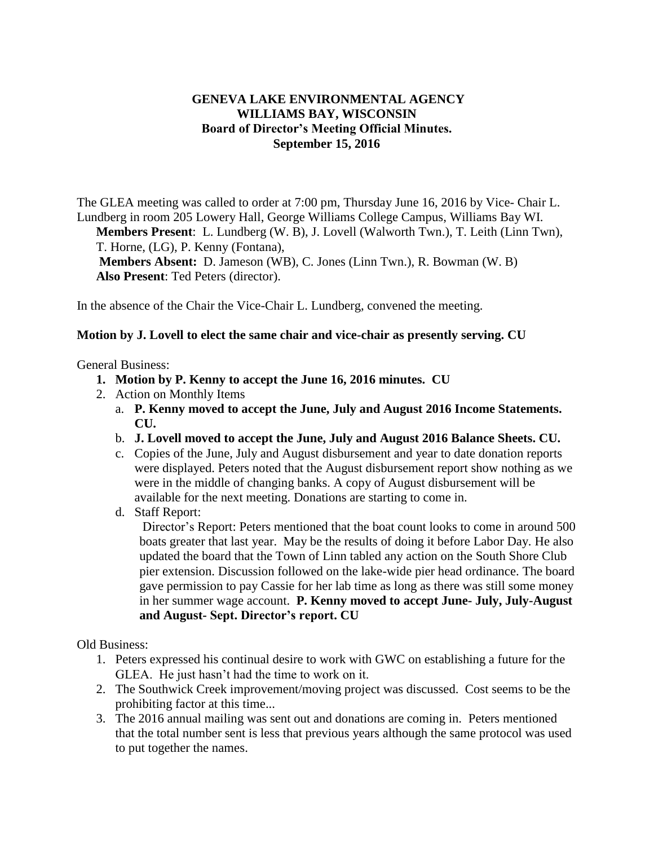## **GENEVA LAKE ENVIRONMENTAL AGENCY WILLIAMS BAY, WISCONSIN Board of Director's Meeting Official Minutes. September 15, 2016**

The GLEA meeting was called to order at 7:00 pm, Thursday June 16, 2016 by Vice- Chair L. Lundberg in room 205 Lowery Hall, George Williams College Campus, Williams Bay WI.

**Members Present**: L. Lundberg (W. B), J. Lovell (Walworth Twn.), T. Leith (Linn Twn), T. Horne, (LG), P. Kenny (Fontana),

**Members Absent:** D. Jameson (WB), C. Jones (Linn Twn.), R. Bowman (W. B) **Also Present**: Ted Peters (director).

In the absence of the Chair the Vice-Chair L. Lundberg, convened the meeting.

## **Motion by J. Lovell to elect the same chair and vice-chair as presently serving. CU**

General Business:

- **1. Motion by P. Kenny to accept the June 16, 2016 minutes. CU**
- 2. Action on Monthly Items
	- a. **P. Kenny moved to accept the June, July and August 2016 Income Statements. CU.**
	- b. **J. Lovell moved to accept the June, July and August 2016 Balance Sheets. CU.**
	- c. Copies of the June, July and August disbursement and year to date donation reports were displayed. Peters noted that the August disbursement report show nothing as we were in the middle of changing banks. A copy of August disbursement will be available for the next meeting. Donations are starting to come in.
	- d. Staff Report:

Director's Report: Peters mentioned that the boat count looks to come in around 500 boats greater that last year. May be the results of doing it before Labor Day. He also updated the board that the Town of Linn tabled any action on the South Shore Club pier extension. Discussion followed on the lake-wide pier head ordinance. The board gave permission to pay Cassie for her lab time as long as there was still some money in her summer wage account. **P. Kenny moved to accept June- July, July-August and August- Sept. Director's report. CU**

Old Business:

- 1. Peters expressed his continual desire to work with GWC on establishing a future for the GLEA. He just hasn't had the time to work on it.
- 2. The Southwick Creek improvement/moving project was discussed. Cost seems to be the prohibiting factor at this time...
- 3. The 2016 annual mailing was sent out and donations are coming in. Peters mentioned that the total number sent is less that previous years although the same protocol was used to put together the names.